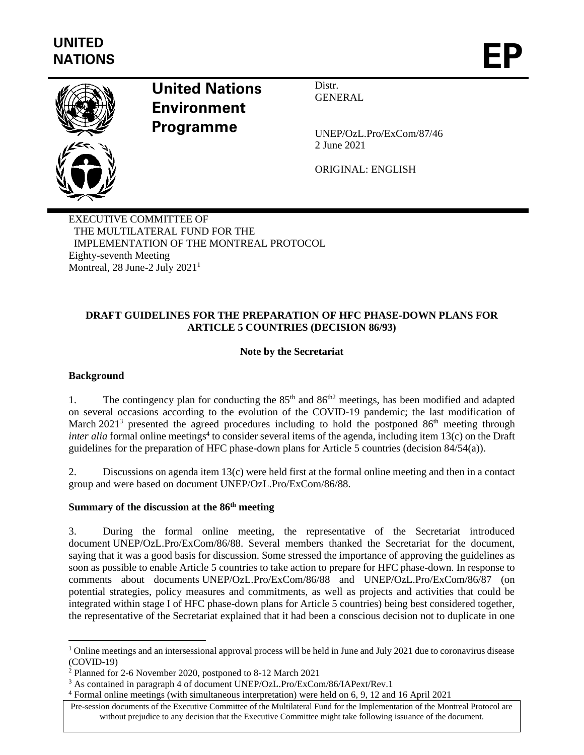

# **United Nations Environment Programme**

Distr. **GENERAL** 

UNEP/OzL.Pro/ExCom/87/46 2 June 2021

ORIGINAL: ENGLISH

EXECUTIVE COMMITTEE OF THE MULTILATERAL FUND FOR THE IMPLEMENTATION OF THE MONTREAL PROTOCOL Eighty-seventh Meeting Montreal, 28 June-2 July 2021<sup>1</sup>

# **DRAFT GUIDELINES FOR THE PREPARATION OF HFC PHASE-DOWN PLANS FOR ARTICLE 5 COUNTRIES (DECISION 86/93)**

# **Note by the Secretariat**

### **Background**

1. The contingency plan for conducting the  $85<sup>th</sup>$  and  $86<sup>th2</sup>$  meetings, has been modified and adapted on several occasions according to the evolution of the COVID-19 pandemic; the last modification of March  $2021^3$  presented the agreed procedures including to hold the postponed  $86<sup>th</sup>$  meeting through *inter alia* formal online meetings<sup>4</sup> to consider several items of the agenda, including item 13(c) on the Draft guidelines for the preparation of HFC phase-down plans for Article 5 countries (decision 84/54(a)).

2. Discussions on agenda item 13(c) were held first at the formal online meeting and then in a contact group and were based on document UNEP/OzL.Pro/ExCom/86/88.

### **Summary of the discussion at the 86th meeting**

3. During the formal online meeting, the representative of the Secretariat introduced document UNEP/OzL.Pro/ExCom/86/88. Several members thanked the Secretariat for the document, saying that it was a good basis for discussion. Some stressed the importance of approving the guidelines as soon as possible to enable Article 5 countries to take action to prepare for HFC phase-down. In response to comments about documents UNEP/OzL.Pro/ExCom/86/88 and UNEP/OzL.Pro/ExCom/86/87 (on potential strategies, policy measures and commitments, as well as projects and activities that could be integrated within stage I of HFC phase-down plans for Article 5 countries) being best considered together, the representative of the Secretariat explained that it had been a conscious decision not to duplicate in one

 $1$  Online meetings and an intersessional approval process will be held in June and July 2021 due to coronavirus disease (COVID-19)

<sup>2</sup> Planned for 2-6 November 2020, postponed to 8-12 March 2021

<sup>3</sup> As contained in paragraph 4 of document UNEP/OzL.Pro/ExCom/86/IAPext/Rev.1

<sup>4</sup> Formal online meetings (with simultaneous interpretation) were held on 6, 9, 12 and 16 April 2021

Pre-session documents of the Executive Committee of the Multilateral Fund for the Implementation of the Montreal Protocol are without prejudice to any decision that the Executive Committee might take following issuance of the document.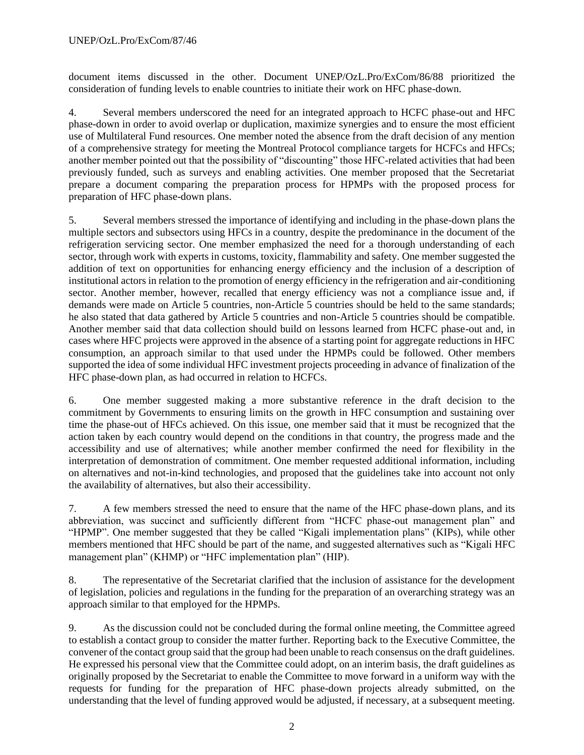document items discussed in the other. Document UNEP/OzL.Pro/ExCom/86/88 prioritized the consideration of funding levels to enable countries to initiate their work on HFC phase-down.

4. Several members underscored the need for an integrated approach to HCFC phase-out and HFC phase-down in order to avoid overlap or duplication, maximize synergies and to ensure the most efficient use of Multilateral Fund resources. One member noted the absence from the draft decision of any mention of a comprehensive strategy for meeting the Montreal Protocol compliance targets for HCFCs and HFCs; another member pointed out that the possibility of "discounting" those HFC-related activities that had been previously funded, such as surveys and enabling activities. One member proposed that the Secretariat prepare a document comparing the preparation process for HPMPs with the proposed process for preparation of HFC phase-down plans.

5. Several members stressed the importance of identifying and including in the phase-down plans the multiple sectors and subsectors using HFCs in a country, despite the predominance in the document of the refrigeration servicing sector. One member emphasized the need for a thorough understanding of each sector, through work with experts in customs, toxicity, flammability and safety. One member suggested the addition of text on opportunities for enhancing energy efficiency and the inclusion of a description of institutional actors in relation to the promotion of energy efficiency in the refrigeration and air-conditioning sector. Another member, however, recalled that energy efficiency was not a compliance issue and, if demands were made on Article 5 countries, non-Article 5 countries should be held to the same standards; he also stated that data gathered by Article 5 countries and non-Article 5 countries should be compatible. Another member said that data collection should build on lessons learned from HCFC phase-out and, in cases where HFC projects were approved in the absence of a starting point for aggregate reductions in HFC consumption, an approach similar to that used under the HPMPs could be followed. Other members supported the idea of some individual HFC investment projects proceeding in advance of finalization of the HFC phase-down plan, as had occurred in relation to HCFCs.

6. One member suggested making a more substantive reference in the draft decision to the commitment by Governments to ensuring limits on the growth in HFC consumption and sustaining over time the phase-out of HFCs achieved. On this issue, one member said that it must be recognized that the action taken by each country would depend on the conditions in that country, the progress made and the accessibility and use of alternatives; while another member confirmed the need for flexibility in the interpretation of demonstration of commitment. One member requested additional information, including on alternatives and not-in-kind technologies, and proposed that the guidelines take into account not only the availability of alternatives, but also their accessibility.

7. A few members stressed the need to ensure that the name of the HFC phase-down plans, and its abbreviation, was succinct and sufficiently different from "HCFC phase-out management plan" and "HPMP". One member suggested that they be called "Kigali implementation plans" (KIPs), while other members mentioned that HFC should be part of the name, and suggested alternatives such as "Kigali HFC management plan" (KHMP) or "HFC implementation plan" (HIP).

8. The representative of the Secretariat clarified that the inclusion of assistance for the development of legislation, policies and regulations in the funding for the preparation of an overarching strategy was an approach similar to that employed for the HPMPs.

9. As the discussion could not be concluded during the formal online meeting, the Committee agreed to establish a contact group to consider the matter further. Reporting back to the Executive Committee, the convener of the contact group said that the group had been unable to reach consensus on the draft guidelines. He expressed his personal view that the Committee could adopt, on an interim basis, the draft guidelines as originally proposed by the Secretariat to enable the Committee to move forward in a uniform way with the requests for funding for the preparation of HFC phase-down projects already submitted, on the understanding that the level of funding approved would be adjusted, if necessary, at a subsequent meeting.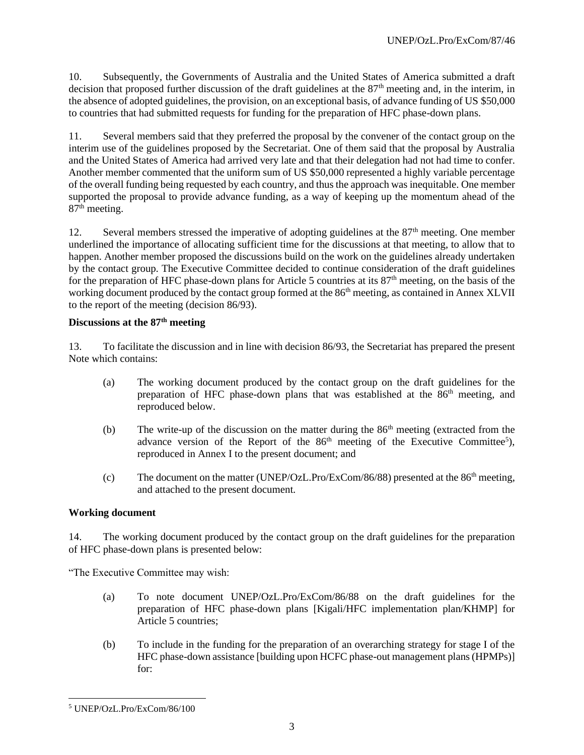10. Subsequently, the Governments of Australia and the United States of America submitted a draft decision that proposed further discussion of the draft guidelines at the  $87<sup>th</sup>$  meeting and, in the interim, in the absence of adopted guidelines, the provision, on an exceptional basis, of advance funding of US \$50,000 to countries that had submitted requests for funding for the preparation of HFC phase-down plans.

11. Several members said that they preferred the proposal by the convener of the contact group on the interim use of the guidelines proposed by the Secretariat. One of them said that the proposal by Australia and the United States of America had arrived very late and that their delegation had not had time to confer. Another member commented that the uniform sum of US \$50,000 represented a highly variable percentage of the overall funding being requested by each country, and thus the approach was inequitable. One member supported the proposal to provide advance funding, as a way of keeping up the momentum ahead of the 87<sup>th</sup> meeting.

12. Several members stressed the imperative of adopting guidelines at the 87<sup>th</sup> meeting. One member underlined the importance of allocating sufficient time for the discussions at that meeting, to allow that to happen. Another member proposed the discussions build on the work on the guidelines already undertaken by the contact group. The Executive Committee decided to continue consideration of the draft guidelines for the preparation of HFC phase-down plans for Article 5 countries at its  $87<sup>th</sup>$  meeting, on the basis of the working document produced by the contact group formed at the 86<sup>th</sup> meeting, as contained in Annex XLVII to the report of the meeting (decision 86/93).

# **Discussions at the 87th meeting**

13. To facilitate the discussion and in line with decision 86/93, the Secretariat has prepared the present Note which contains:

- (a) The working document produced by the contact group on the draft guidelines for the preparation of HFC phase-down plans that was established at the 86<sup>th</sup> meeting, and reproduced below.
- (b) The write-up of the discussion on the matter during the  $86<sup>th</sup>$  meeting (extracted from the advance version of the Report of the  $86<sup>th</sup>$  meeting of the Executive Committee<sup>5</sup>), reproduced in Annex I to the present document; and
- (c) The document on the matter (UNEP/OzL.Pro/ExCom/86/88) presented at the  $86<sup>th</sup>$  meeting, and attached to the present document.

### **Working document**

14. The working document produced by the contact group on the draft guidelines for the preparation of HFC phase-down plans is presented below:

"The Executive Committee may wish:

- (a) To note document UNEP/OzL.Pro/ExCom/86/88 on the draft guidelines for the preparation of HFC phase-down plans [Kigali/HFC implementation plan/KHMP] for Article 5 countries;
- (b) To include in the funding for the preparation of an overarching strategy for stage I of the HFC phase-down assistance [building upon HCFC phase-out management plans (HPMPs)] for:

<sup>5</sup> UNEP/OzL.Pro/ExCom/86/100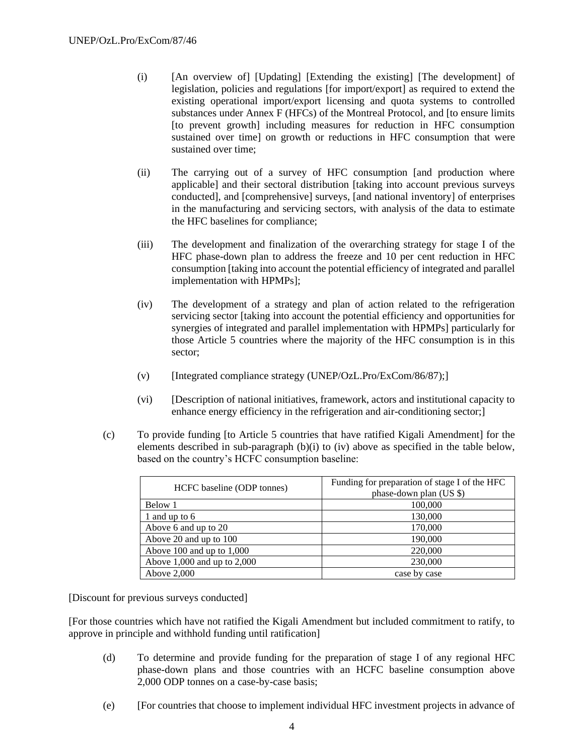- (i) [An overview of] [Updating] [Extending the existing] [The development] of legislation, policies and regulations [for import/export] as required to extend the existing operational import/export licensing and quota systems to controlled substances under Annex F (HFCs) of the Montreal Protocol, and [to ensure limits [to prevent growth] including measures for reduction in HFC consumption sustained over time] on growth or reductions in HFC consumption that were sustained over time;
- (ii) The carrying out of a survey of HFC consumption [and production where applicable] and their sectoral distribution [taking into account previous surveys conducted], and [comprehensive] surveys, [and national inventory] of enterprises in the manufacturing and servicing sectors, with analysis of the data to estimate the HFC baselines for compliance;
- (iii) The development and finalization of the overarching strategy for stage I of the HFC phase-down plan to address the freeze and 10 per cent reduction in HFC consumption [taking into account the potential efficiency of integrated and parallel implementation with HPMPs];
- (iv) The development of a strategy and plan of action related to the refrigeration servicing sector [taking into account the potential efficiency and opportunities for synergies of integrated and parallel implementation with HPMPs] particularly for those Article 5 countries where the majority of the HFC consumption is in this sector;
- (v) [Integrated compliance strategy (UNEP/OzL.Pro/ExCom/86/87);]
- (vi) [Description of national initiatives, framework, actors and institutional capacity to enhance energy efficiency in the refrigeration and air-conditioning sector;]
- (c) To provide funding [to Article 5 countries that have ratified Kigali Amendment] for the elements described in sub-paragraph (b)(i) to (iv) above as specified in the table below, based on the country's HCFC consumption baseline:

| HCFC baseline (ODP tonnes)      | Funding for preparation of stage I of the HFC<br>phase-down plan (US \$) |
|---------------------------------|--------------------------------------------------------------------------|
| Below 1                         | 100,000                                                                  |
| 1 and up to 6                   | 130,000                                                                  |
| Above 6 and up to 20            | 170,000                                                                  |
| Above 20 and up to 100          | 190,000                                                                  |
| Above 100 and up to $1,000$     | 220,000                                                                  |
| Above $1,000$ and up to $2,000$ | 230,000                                                                  |
| Above $2,000$                   | case by case                                                             |

[Discount for previous surveys conducted]

[For those countries which have not ratified the Kigali Amendment but included commitment to ratify, to approve in principle and withhold funding until ratification]

- (d) To determine and provide funding for the preparation of stage I of any regional HFC phase-down plans and those countries with an HCFC baseline consumption above 2,000 ODP tonnes on a case-by-case basis;
- (e) [For countries that choose to implement individual HFC investment projects in advance of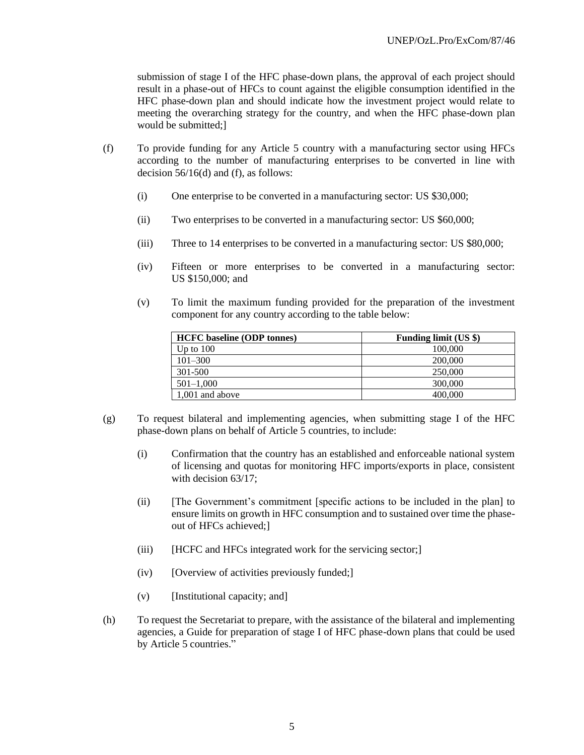submission of stage I of the HFC phase-down plans, the approval of each project should result in a phase-out of HFCs to count against the eligible consumption identified in the HFC phase-down plan and should indicate how the investment project would relate to meeting the overarching strategy for the country, and when the HFC phase-down plan would be submitted;]

- (f) To provide funding for any Article 5 country with a manufacturing sector using HFCs according to the number of manufacturing enterprises to be converted in line with decision 56/16(d) and (f), as follows:
	- (i) One enterprise to be converted in a manufacturing sector: US \$30,000;
	- (ii) Two enterprises to be converted in a manufacturing sector: US \$60,000;
	- (iii) Three to 14 enterprises to be converted in a manufacturing sector: US \$80,000;
	- (iv) Fifteen or more enterprises to be converted in a manufacturing sector: US \$150,000; and
	- (v) To limit the maximum funding provided for the preparation of the investment component for any country according to the table below:

| <b>HCFC</b> baseline (ODP tonnes) | <b>Funding limit (US \$)</b> |
|-----------------------------------|------------------------------|
| Up to $100$                       | 100,000                      |
| $101 - 300$                       | 200,000                      |
| 301-500                           | 250,000                      |
| $501 - 1,000$                     | 300,000                      |
| 1,001 and above                   | 400,000                      |

- (g) To request bilateral and implementing agencies, when submitting stage I of the HFC phase-down plans on behalf of Article 5 countries, to include:
	- (i) Confirmation that the country has an established and enforceable national system of licensing and quotas for monitoring HFC imports/exports in place, consistent with decision  $63/17$ ;
	- (ii) [The Government's commitment [specific actions to be included in the plan] to ensure limits on growth in HFC consumption and to sustained over time the phaseout of HFCs achieved;]
	- (iii) [HCFC and HFCs integrated work for the servicing sector;]
	- $(iv)$  [Overview of activities previously funded;]
	- (v) [Institutional capacity; and]
- (h) To request the Secretariat to prepare, with the assistance of the bilateral and implementing agencies, a Guide for preparation of stage I of HFC phase-down plans that could be used by Article 5 countries."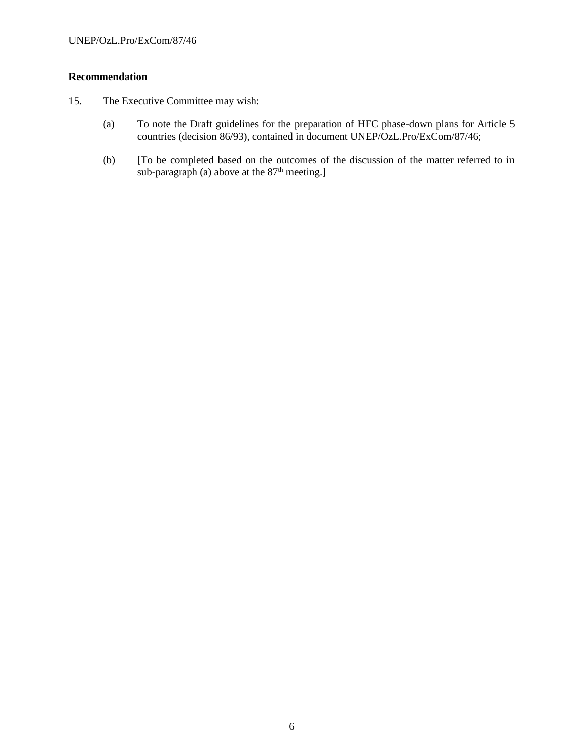# **Recommendation**

- 15. The Executive Committee may wish:
	- (a) To note the Draft guidelines for the preparation of HFC phase-down plans for Article 5 countries (decision 86/93), contained in document UNEP/OzL.Pro/ExCom/87/46;
	- (b) [To be completed based on the outcomes of the discussion of the matter referred to in sub-paragraph (a) above at the  $87<sup>th</sup>$  meeting.]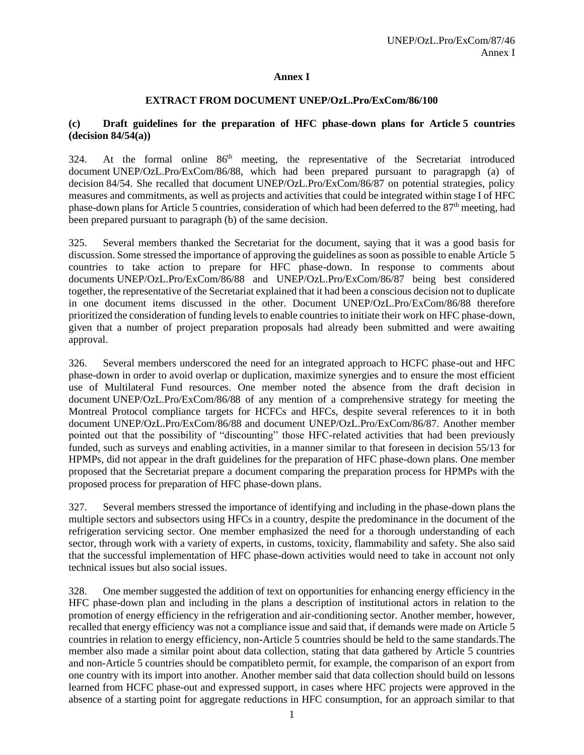### **Annex I**

### **EXTRACT FROM DOCUMENT UNEP/OzL.Pro/ExCom/86/100**

### **(c) Draft guidelines for the preparation of HFC phase-down plans for Article 5 countries (decision 84/54(a))**

324. At the formal online 86<sup>th</sup> meeting, the representative of the Secretariat introduced document UNEP/OzL.Pro/ExCom/86/88, which had been prepared pursuant to paragrapgh (a) of decision 84/54. She recalled that document UNEP/OzL.Pro/ExCom/86/87 on potential strategies, policy measures and commitments, as well as projects and activities that could be integrated within stage I of HFC phase-down plans for Article 5 countries, consideration of which had been deferred to the 87th meeting, had been prepared pursuant to paragraph (b) of the same decision.

325. Several members thanked the Secretariat for the document, saying that it was a good basis for discussion. Some stressed the importance of approving the guidelines as soon as possible to enable Article 5 countries to take action to prepare for HFC phase-down. In response to comments about documents UNEP/OzL.Pro/ExCom/86/88 and UNEP/OzL.Pro/ExCom/86/87 being best considered together, the representative of the Secretariat explained that it had been a conscious decision not to duplicate in one document items discussed in the other. Document UNEP/OzL.Pro/ExCom/86/88 therefore prioritized the consideration of funding levels to enable countries to initiate their work on HFC phase-down, given that a number of project preparation proposals had already been submitted and were awaiting approval.

326. Several members underscored the need for an integrated approach to HCFC phase-out and HFC phase-down in order to avoid overlap or duplication, maximize synergies and to ensure the most efficient use of Multilateral Fund resources. One member noted the absence from the draft decision in document UNEP/OzL.Pro/ExCom/86/88 of any mention of a comprehensive strategy for meeting the Montreal Protocol compliance targets for HCFCs and HFCs, despite several references to it in both document UNEP/OzL.Pro/ExCom/86/88 and document UNEP/OzL.Pro/ExCom/86/87. Another member pointed out that the possibility of "discounting" those HFC-related activities that had been previously funded, such as surveys and enabling activities, in a manner similar to that foreseen in decision 55/13 for HPMPs, did not appear in the draft guidelines for the preparation of HFC phase-down plans. One member proposed that the Secretariat prepare a document comparing the preparation process for HPMPs with the proposed process for preparation of HFC phase-down plans.

327. Several members stressed the importance of identifying and including in the phase-down plans the multiple sectors and subsectors using HFCs in a country, despite the predominance in the document of the refrigeration servicing sector. One member emphasized the need for a thorough understanding of each sector, through work with a variety of experts, in customs, toxicity, flammability and safety. She also said that the successful implementation of HFC phase-down activities would need to take in account not only technical issues but also social issues.

328. One member suggested the addition of text on opportunities for enhancing energy efficiency in the HFC phase-down plan and including in the plans a description of institutional actors in relation to the promotion of energy efficiency in the refrigeration and air-conditioning sector. Another member, however, recalled that energy efficiency was not a compliance issue and said that, if demands were made on Article 5 countries in relation to energy efficiency, non-Article 5 countries should be held to the same standards.The member also made a similar point about data collection, stating that data gathered by Article 5 countries and non-Article 5 countries should be compatibleto permit, for example, the comparison of an export from one country with its import into another. Another member said that data collection should build on lessons learned from HCFC phase-out and expressed support, in cases where HFC projects were approved in the absence of a starting point for aggregate reductions in HFC consumption, for an approach similar to that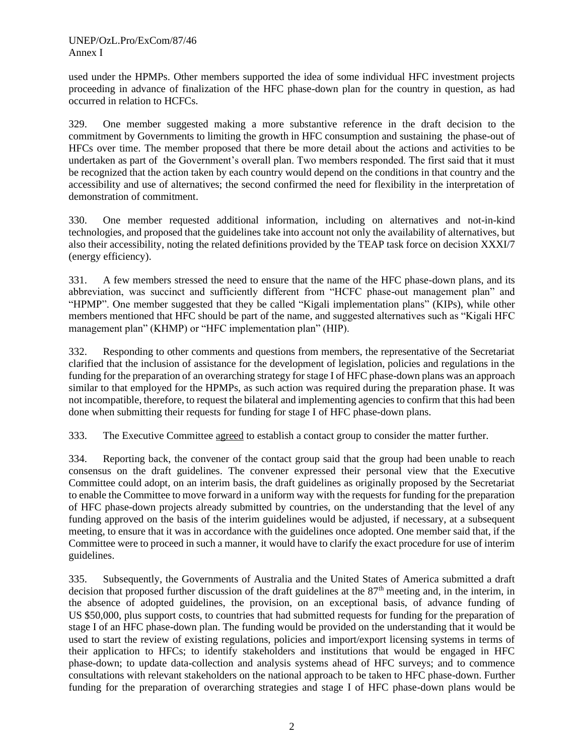used under the HPMPs. Other members supported the idea of some individual HFC investment projects proceeding in advance of finalization of the HFC phase-down plan for the country in question, as had occurred in relation to HCFCs.

329. One member suggested making a more substantive reference in the draft decision to the commitment by Governments to limiting the growth in HFC consumption and sustaining the phase-out of HFCs over time. The member proposed that there be more detail about the actions and activities to be undertaken as part of the Government's overall plan. Two members responded. The first said that it must be recognized that the action taken by each country would depend on the conditions in that country and the accessibility and use of alternatives; the second confirmed the need for flexibility in the interpretation of demonstration of commitment.

330. One member requested additional information, including on alternatives and not-in-kind technologies, and proposed that the guidelines take into account not only the availability of alternatives, but also their accessibility, noting the related definitions provided by the TEAP task force on decision XXXI/7 (energy efficiency).

331. A few members stressed the need to ensure that the name of the HFC phase-down plans, and its abbreviation, was succinct and sufficiently different from "HCFC phase-out management plan" and "HPMP". One member suggested that they be called "Kigali implementation plans" (KIPs), while other members mentioned that HFC should be part of the name, and suggested alternatives such as "Kigali HFC management plan" (KHMP) or "HFC implementation plan" (HIP).

332. Responding to other comments and questions from members, the representative of the Secretariat clarified that the inclusion of assistance for the development of legislation, policies and regulations in the funding for the preparation of an overarching strategy for stage I of HFC phase-down plans was an approach similar to that employed for the HPMPs, as such action was required during the preparation phase. It was not incompatible, therefore, to request the bilateral and implementing agencies to confirm that this had been done when submitting their requests for funding for stage I of HFC phase-down plans.

333. The Executive Committee agreed to establish a contact group to consider the matter further.

334. Reporting back, the convener of the contact group said that the group had been unable to reach consensus on the draft guidelines. The convener expressed their personal view that the Executive Committee could adopt, on an interim basis, the draft guidelines as originally proposed by the Secretariat to enable the Committee to move forward in a uniform way with the requests for funding for the preparation of HFC phase-down projects already submitted by countries, on the understanding that the level of any funding approved on the basis of the interim guidelines would be adjusted, if necessary, at a subsequent meeting, to ensure that it was in accordance with the guidelines once adopted. One member said that, if the Committee were to proceed in such a manner, it would have to clarify the exact procedure for use of interim guidelines.

335. Subsequently, the Governments of Australia and the United States of America submitted a draft decision that proposed further discussion of the draft guidelines at the  $87<sup>th</sup>$  meeting and, in the interim, in the absence of adopted guidelines, the provision, on an exceptional basis, of advance funding of US \$50,000, plus support costs, to countries that had submitted requests for funding for the preparation of stage I of an HFC phase-down plan. The funding would be provided on the understanding that it would be used to start the review of existing regulations, policies and import/export licensing systems in terms of their application to HFCs; to identify stakeholders and institutions that would be engaged in HFC phase-down; to update data-collection and analysis systems ahead of HFC surveys; and to commence consultations with relevant stakeholders on the national approach to be taken to HFC phase-down. Further funding for the preparation of overarching strategies and stage I of HFC phase-down plans would be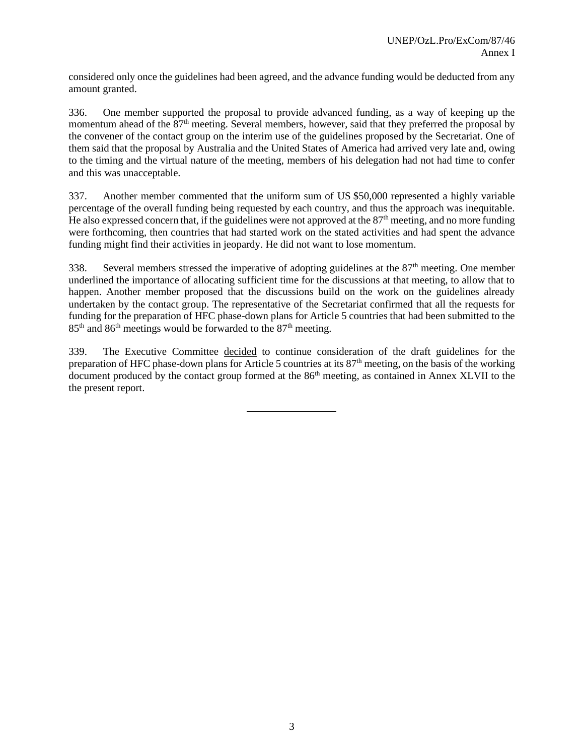considered only once the guidelines had been agreed, and the advance funding would be deducted from any amount granted.

336. One member supported the proposal to provide advanced funding, as a way of keeping up the momentum ahead of the 87<sup>th</sup> meeting. Several members, however, said that they preferred the proposal by the convener of the contact group on the interim use of the guidelines proposed by the Secretariat. One of them said that the proposal by Australia and the United States of America had arrived very late and, owing to the timing and the virtual nature of the meeting, members of his delegation had not had time to confer and this was unacceptable.

337. Another member commented that the uniform sum of US \$50,000 represented a highly variable percentage of the overall funding being requested by each country, and thus the approach was inequitable. He also expressed concern that, if the guidelines were not approved at the  $87<sup>th</sup>$  meeting, and no more funding were forthcoming, then countries that had started work on the stated activities and had spent the advance funding might find their activities in jeopardy. He did not want to lose momentum.

338. Several members stressed the imperative of adopting guidelines at the 87<sup>th</sup> meeting. One member underlined the importance of allocating sufficient time for the discussions at that meeting, to allow that to happen. Another member proposed that the discussions build on the work on the guidelines already undertaken by the contact group. The representative of the Secretariat confirmed that all the requests for funding for the preparation of HFC phase-down plans for Article 5 countries that had been submitted to the 85<sup>th</sup> and 86<sup>th</sup> meetings would be forwarded to the 87<sup>th</sup> meeting.

339. The Executive Committee decided to continue consideration of the draft guidelines for the preparation of HFC phase-down plans for Article 5 countries at its 87th meeting, on the basis of the working document produced by the contact group formed at the 86<sup>th</sup> meeting, as contained in Annex XLVII to the the present report.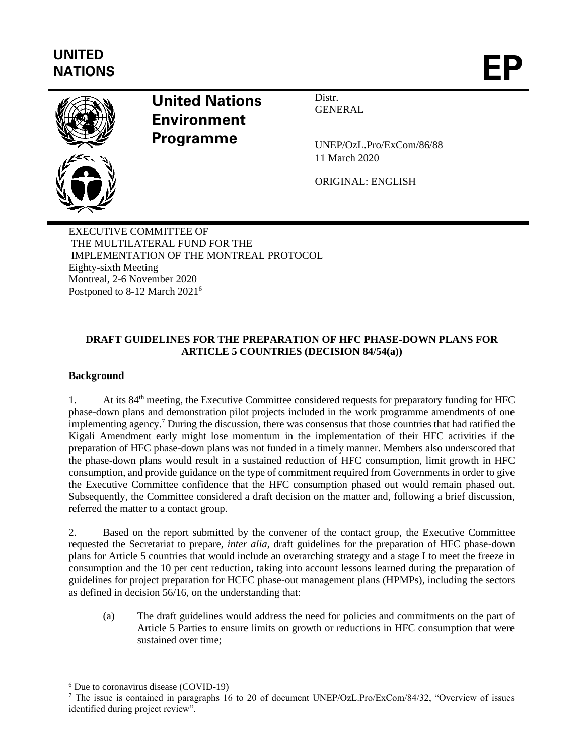# **UNITED** UNITED<br>NATIONS



# **United Nations Environment Programme**

**GENERAL** 

Distr.

UNEP/OzL.Pro/ExCom/86/88 11 March 2020

ORIGINAL: ENGLISH

EXECUTIVE COMMITTEE OF THE MULTILATERAL FUND FOR THE IMPLEMENTATION OF THE MONTREAL PROTOCOL Eighty-sixth Meeting Montreal, 2-6 November 2020 Postponed to 8-12 March 2021<sup>6</sup>

# **DRAFT GUIDELINES FOR THE PREPARATION OF HFC PHASE-DOWN PLANS FOR ARTICLE 5 COUNTRIES (DECISION 84/54(a))**

# **Background**

1. At its 84<sup>th</sup> meeting, the Executive Committee considered requests for preparatory funding for HFC phase-down plans and demonstration pilot projects included in the work programme amendments of one implementing agency. <sup>7</sup> During the discussion, there was consensus that those countries that had ratified the Kigali Amendment early might lose momentum in the implementation of their HFC activities if the preparation of HFC phase-down plans was not funded in a timely manner. Members also underscored that the phase-down plans would result in a sustained reduction of HFC consumption, limit growth in HFC consumption, and provide guidance on the type of commitment required from Governments in order to give the Executive Committee confidence that the HFC consumption phased out would remain phased out. Subsequently, the Committee considered a draft decision on the matter and, following a brief discussion, referred the matter to a contact group.

2. Based on the report submitted by the convener of the contact group, the Executive Committee requested the Secretariat to prepare, *inter alia*, draft guidelines for the preparation of HFC phase-down plans for Article 5 countries that would include an overarching strategy and a stage I to meet the freeze in consumption and the 10 per cent reduction, taking into account lessons learned during the preparation of guidelines for project preparation for HCFC phase-out management plans (HPMPs), including the sectors as defined in decision 56/16, on the understanding that:

(a) The draft guidelines would address the need for policies and commitments on the part of Article 5 Parties to ensure limits on growth or reductions in HFC consumption that were sustained over time;

<sup>6</sup> Due to coronavirus disease (COVID-19)

<sup>7</sup> The issue is contained in paragraphs 16 to 20 of document UNEP/OzL.Pro/ExCom/84/32, "Overview of issues identified during project review".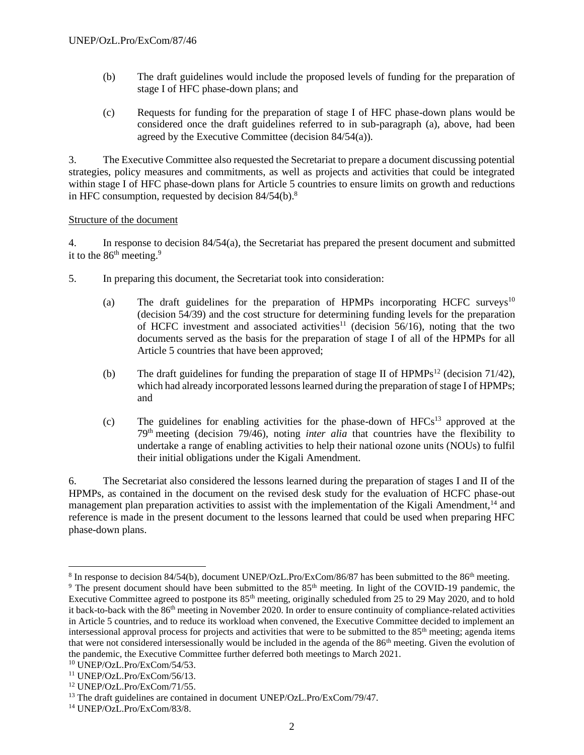- (b) The draft guidelines would include the proposed levels of funding for the preparation of stage I of HFC phase-down plans; and
- (c) Requests for funding for the preparation of stage I of HFC phase-down plans would be considered once the draft guidelines referred to in sub-paragraph (a), above, had been agreed by the Executive Committee (decision 84/54(a)).

3. The Executive Committee also requested the Secretariat to prepare a document discussing potential strategies, policy measures and commitments, as well as projects and activities that could be integrated within stage I of HFC phase-down plans for Article 5 countries to ensure limits on growth and reductions in HFC consumption, requested by decision  $84/54(b)$ .<sup>8</sup>

### Structure of the document

4. In response to decision 84/54(a), the Secretariat has prepared the present document and submitted it to the  $86<sup>th</sup>$  meeting.<sup>9</sup>

- 5. In preparing this document, the Secretariat took into consideration:
	- (a) The draft guidelines for the preparation of HPMPs incorporating HCFC surveys<sup>10</sup> (decision 54/39) and the cost structure for determining funding levels for the preparation of HCFC investment and associated activities<sup>11</sup> (decision  $56/16$ ), noting that the two documents served as the basis for the preparation of stage I of all of the HPMPs for all Article 5 countries that have been approved;
	- (b) The draft guidelines for funding the preparation of stage II of  $HPMPs^{12}$  (decision 71/42), which had already incorporated lessons learned during the preparation of stage I of HPMPs; and
	- (c) The guidelines for enabling activities for the phase-down of  $HFCs<sup>13</sup>$  approved at the 79th meeting (decision 79/46), noting *inter alia* that countries have the flexibility to undertake a range of enabling activities to help their national ozone units (NOUs) to fulfil their initial obligations under the Kigali Amendment.

6. The Secretariat also considered the lessons learned during the preparation of stages I and II of the HPMPs, as contained in the document on the revised desk study for the evaluation of HCFC phase-out management plan preparation activities to assist with the implementation of the Kigali Amendment,<sup>14</sup> and reference is made in the present document to the lessons learned that could be used when preparing HFC phase-down plans.

 $8 \text{ In response to decision } 84/54(\text{b})$ , document UNEP/OzL.Pro/ExCom/86/87 has been submitted to the 86<sup>th</sup> meeting.

<sup>&</sup>lt;sup>9</sup> The present document should have been submitted to the 85<sup>th</sup> meeting. In light of the COVID-19 pandemic, the Executive Committee agreed to postpone its 85<sup>th</sup> meeting, originally scheduled from 25 to 29 May 2020, and to hold it back-to-back with the 86<sup>th</sup> meeting in November 2020. In order to ensure continuity of compliance-related activities in Article 5 countries, and to reduce its workload when convened, the Executive Committee decided to implement an intersessional approval process for projects and activities that were to be submitted to the  $85<sup>th</sup>$  meeting; agenda items that were not considered intersessionally would be included in the agenda of the 86<sup>th</sup> meeting. Given the evolution of the pandemic, the Executive Committee further deferred both meetings to March 2021.

<sup>10</sup> UNEP/OzL.Pro/ExCom/54/53.

<sup>11</sup> UNEP/OzL.Pro/ExCom/56/13.

<sup>12</sup> UNEP/OzL.Pro/ExCom/71/55.

<sup>&</sup>lt;sup>13</sup> The draft guidelines are contained in document UNEP/OzL.Pro/ExCom/79/47.

<sup>14</sup> UNEP/OzL.Pro/ExCom/83/8.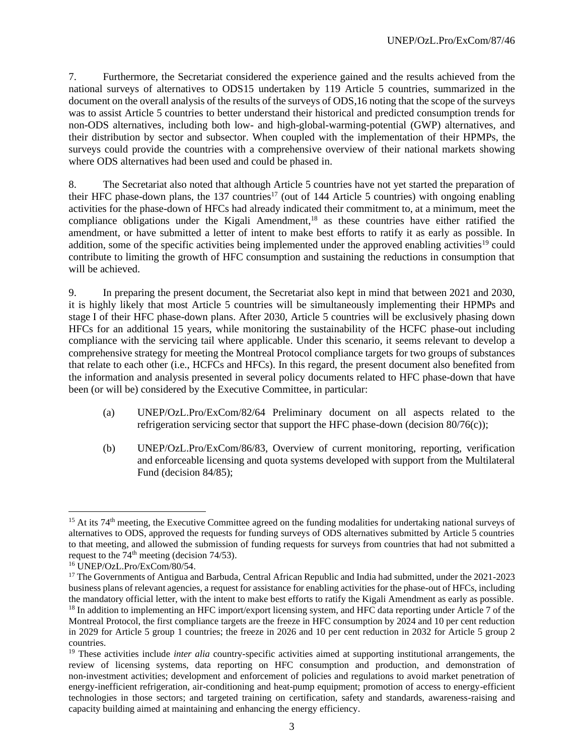7. Furthermore, the Secretariat considered the experience gained and the results achieved from the national surveys of alternatives to ODS15 undertaken by 119 Article 5 countries, summarized in the document on the overall analysis of the results of the surveys of ODS,16 noting that the scope of the surveys was to assist Article 5 countries to better understand their historical and predicted consumption trends for non-ODS alternatives, including both low- and high-global-warming-potential (GWP) alternatives, and their distribution by sector and subsector. When coupled with the implementation of their HPMPs, the surveys could provide the countries with a comprehensive overview of their national markets showing where ODS alternatives had been used and could be phased in.

8. The Secretariat also noted that although Article 5 countries have not yet started the preparation of their HFC phase-down plans, the  $137$  countries<sup>17</sup> (out of 144 Article 5 countries) with ongoing enabling activities for the phase-down of HFCs had already indicated their commitment to, at a minimum, meet the compliance obligations under the Kigali Amendment,<sup>18</sup> as these countries have either ratified the amendment, or have submitted a letter of intent to make best efforts to ratify it as early as possible. In addition, some of the specific activities being implemented under the approved enabling activities<sup>19</sup> could contribute to limiting the growth of HFC consumption and sustaining the reductions in consumption that will be achieved.

9. In preparing the present document, the Secretariat also kept in mind that between 2021 and 2030, it is highly likely that most Article 5 countries will be simultaneously implementing their HPMPs and stage I of their HFC phase-down plans. After 2030, Article 5 countries will be exclusively phasing down HFCs for an additional 15 years, while monitoring the sustainability of the HCFC phase-out including compliance with the servicing tail where applicable. Under this scenario, it seems relevant to develop a comprehensive strategy for meeting the Montreal Protocol compliance targets for two groups of substances that relate to each other (i.e., HCFCs and HFCs). In this regard, the present document also benefited from the information and analysis presented in several policy documents related to HFC phase-down that have been (or will be) considered by the Executive Committee, in particular:

- (a) UNEP/OzL.Pro/ExCom/82/64 Preliminary document on all aspects related to the refrigeration servicing sector that support the HFC phase-down (decision 80/76(c));
- (b) UNEP/OzL.Pro/ExCom/86/83, Overview of current monitoring, reporting, verification and enforceable licensing and quota systems developed with support from the Multilateral Fund (decision 84/85);

 $15$  At its 74<sup>th</sup> meeting, the Executive Committee agreed on the funding modalities for undertaking national surveys of alternatives to ODS, approved the requests for funding surveys of ODS alternatives submitted by Article 5 countries to that meeting, and allowed the submission of funding requests for surveys from countries that had not submitted a request to the  $74<sup>th</sup>$  meeting (decision 74/53).

<sup>16</sup> UNEP/OzL.Pro/ExCom/80/54.

<sup>&</sup>lt;sup>17</sup> The Governments of Antigua and Barbuda, Central African Republic and India had submitted, under the 2021-2023 business plans of relevant agencies, a request for assistance for enabling activities for the phase-out of HFCs, including the mandatory official letter, with the intent to make best efforts to ratify the Kigali Amendment as early as possible. <sup>18</sup> In addition to implementing an HFC import/export licensing system, and HFC data reporting under Article 7 of the Montreal Protocol, the first compliance targets are the freeze in HFC consumption by 2024 and 10 per cent reduction in 2029 for Article 5 group 1 countries; the freeze in 2026 and 10 per cent reduction in 2032 for Article 5 group 2 countries.

<sup>&</sup>lt;sup>19</sup> These activities include *inter alia* country-specific activities aimed at supporting institutional arrangements, the review of licensing systems, data reporting on HFC consumption and production, and demonstration of non-investment activities; development and enforcement of policies and regulations to avoid market penetration of energy-inefficient refrigeration, air-conditioning and heat-pump equipment; promotion of access to energy-efficient technologies in those sectors; and targeted training on certification, safety and standards, awareness-raising and capacity building aimed at maintaining and enhancing the energy efficiency.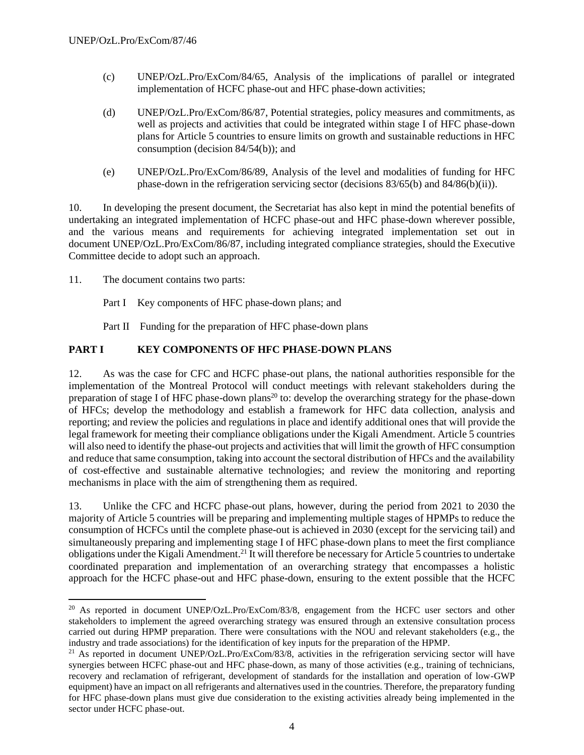- (c) UNEP/OzL.Pro/ExCom/84/65, Analysis of the implications of parallel or integrated implementation of HCFC phase-out and HFC phase-down activities;
- (d) UNEP/OzL.Pro/ExCom/86/87, Potential strategies, policy measures and commitments, as well as projects and activities that could be integrated within stage I of HFC phase-down plans for Article 5 countries to ensure limits on growth and sustainable reductions in HFC consumption (decision 84/54(b)); and
- (e) UNEP/OzL.Pro/ExCom/86/89, Analysis of the level and modalities of funding for HFC phase-down in the refrigeration servicing sector (decisions 83/65(b) and 84/86(b)(ii)).

10. In developing the present document, the Secretariat has also kept in mind the potential benefits of undertaking an integrated implementation of HCFC phase-out and HFC phase-down wherever possible, and the various means and requirements for achieving integrated implementation set out in document UNEP/OzL.Pro/ExCom/86/87, including integrated compliance strategies, should the Executive Committee decide to adopt such an approach.

- 11. The document contains two parts:
	- Part I Key components of HFC phase-down plans; and

Part II Funding for the preparation of HFC phase-down plans

### **PART I KEY COMPONENTS OF HFC PHASE-DOWN PLANS**

12. As was the case for CFC and HCFC phase-out plans, the national authorities responsible for the implementation of the Montreal Protocol will conduct meetings with relevant stakeholders during the preparation of stage I of HFC phase-down plans<sup>20</sup> to: develop the overarching strategy for the phase-down of HFCs; develop the methodology and establish a framework for HFC data collection, analysis and reporting; and review the policies and regulations in place and identify additional ones that will provide the legal framework for meeting their compliance obligations under the Kigali Amendment. Article 5 countries will also need to identify the phase-out projects and activities that will limit the growth of HFC consumption and reduce that same consumption, taking into account the sectoral distribution of HFCs and the availability of cost-effective and sustainable alternative technologies; and review the monitoring and reporting mechanisms in place with the aim of strengthening them as required.

13. Unlike the CFC and HCFC phase-out plans, however, during the period from 2021 to 2030 the majority of Article 5 countries will be preparing and implementing multiple stages of HPMPs to reduce the consumption of HCFCs until the complete phase-out is achieved in 2030 (except for the servicing tail) and simultaneously preparing and implementing stage I of HFC phase-down plans to meet the first compliance obligations under the Kigali Amendment.<sup>21</sup> It will therefore be necessary for Article 5 countries to undertake coordinated preparation and implementation of an overarching strategy that encompasses a holistic approach for the HCFC phase-out and HFC phase-down, ensuring to the extent possible that the HCFC

<sup>&</sup>lt;sup>20</sup> As reported in document UNEP/OzL.Pro/ExCom/83/8, engagement from the HCFC user sectors and other stakeholders to implement the agreed overarching strategy was ensured through an extensive consultation process carried out during HPMP preparation. There were consultations with the NOU and relevant stakeholders (e.g., the industry and trade associations) for the identification of key inputs for the preparation of the HPMP.

<sup>&</sup>lt;sup>21</sup> As reported in document UNEP/OzL.Pro/ExCom/83/8, activities in the refrigeration servicing sector will have synergies between HCFC phase-out and HFC phase-down, as many of those activities (e.g., training of technicians, recovery and reclamation of refrigerant, development of standards for the installation and operation of low-GWP equipment) have an impact on all refrigerants and alternatives used in the countries. Therefore, the preparatory funding for HFC phase-down plans must give due consideration to the existing activities already being implemented in the sector under HCFC phase-out.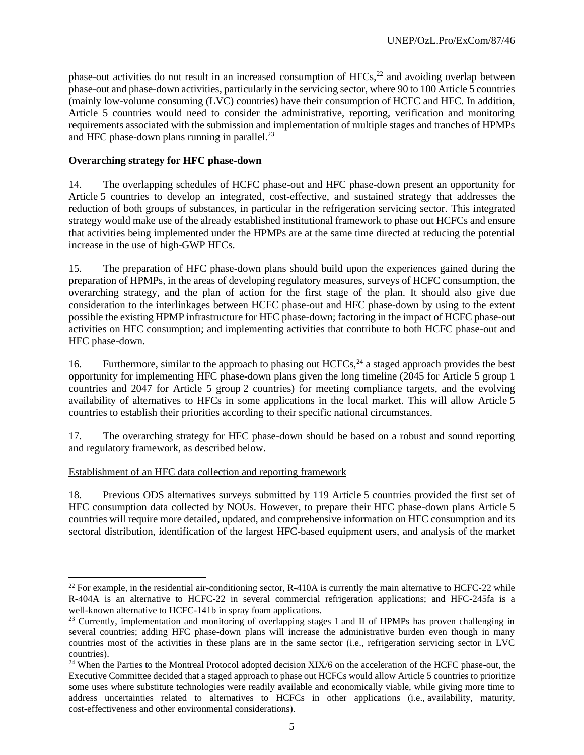phase-out activities do not result in an increased consumption of  $HFCs$ ,<sup>22</sup> and avoiding overlap between phase-out and phase-down activities, particularly in the servicing sector, where 90 to 100 Article 5 countries (mainly low-volume consuming (LVC) countries) have their consumption of HCFC and HFC. In addition, Article 5 countries would need to consider the administrative, reporting, verification and monitoring requirements associated with the submission and implementation of multiple stages and tranches of HPMPs and HFC phase-down plans running in parallel.<sup>23</sup>

### **Overarching strategy for HFC phase-down**

14. The overlapping schedules of HCFC phase-out and HFC phase-down present an opportunity for Article 5 countries to develop an integrated, cost-effective, and sustained strategy that addresses the reduction of both groups of substances, in particular in the refrigeration servicing sector. This integrated strategy would make use of the already established institutional framework to phase out HCFCs and ensure that activities being implemented under the HPMPs are at the same time directed at reducing the potential increase in the use of high-GWP HFCs.

15. The preparation of HFC phase-down plans should build upon the experiences gained during the preparation of HPMPs, in the areas of developing regulatory measures, surveys of HCFC consumption, the overarching strategy, and the plan of action for the first stage of the plan. It should also give due consideration to the interlinkages between HCFC phase-out and HFC phase-down by using to the extent possible the existing HPMP infrastructure for HFC phase-down; factoring in the impact of HCFC phase-out activities on HFC consumption; and implementing activities that contribute to both HCFC phase-out and HFC phase-down.

16. Furthermore, similar to the approach to phasing out  $HCFCs$ ,  $^{24}$  a staged approach provides the best opportunity for implementing HFC phase-down plans given the long timeline (2045 for Article 5 group 1 countries and 2047 for Article 5 group 2 countries) for meeting compliance targets, and the evolving availability of alternatives to HFCs in some applications in the local market. This will allow Article 5 countries to establish their priorities according to their specific national circumstances.

17. The overarching strategy for HFC phase-down should be based on a robust and sound reporting and regulatory framework, as described below.

### Establishment of an HFC data collection and reporting framework

18. Previous ODS alternatives surveys submitted by 119 Article 5 countries provided the first set of HFC consumption data collected by NOUs. However, to prepare their HFC phase-down plans Article 5 countries will require more detailed, updated, and comprehensive information on HFC consumption and its sectoral distribution, identification of the largest HFC-based equipment users, and analysis of the market

 $22$  For example, in the residential air-conditioning sector, R-410A is currently the main alternative to HCFC-22 while R-404A is an alternative to HCFC-22 in several commercial refrigeration applications; and HFC-245fa is a well-known alternative to HCFC-141b in spray foam applications.

<sup>&</sup>lt;sup>23</sup> Currently, implementation and monitoring of overlapping stages I and II of HPMPs has proven challenging in several countries; adding HFC phase-down plans will increase the administrative burden even though in many countries most of the activities in these plans are in the same sector (i.e., refrigeration servicing sector in LVC countries).

 $24$  When the Parties to the Montreal Protocol adopted decision XIX/6 on the acceleration of the HCFC phase-out, the Executive Committee decided that a staged approach to phase out HCFCs would allow Article 5 countries to prioritize some uses where substitute technologies were readily available and economically viable, while giving more time to address uncertainties related to alternatives to HCFCs in other applications (i.e., availability, maturity, cost-effectiveness and other environmental considerations).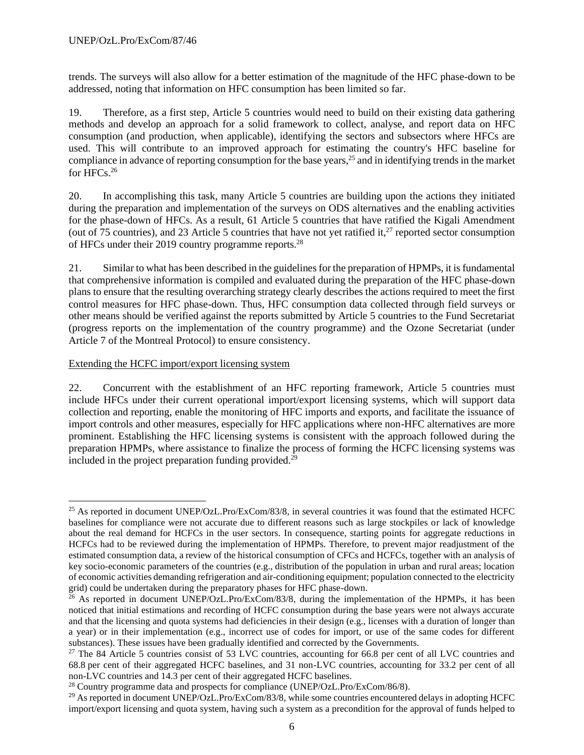trends. The surveys will also allow for a better estimation of the magnitude of the HFC phase-down to be addressed, noting that information on HFC consumption has been limited so far.

19. Therefore, as a first step, Article 5 countries would need to build on their existing data gathering methods and develop an approach for a solid framework to collect, analyse, and report data on HFC consumption (and production, when applicable), identifying the sectors and subsectors where HFCs are used. This will contribute to an improved approach for estimating the country's HFC baseline for compliance in advance of reporting consumption for the base years, <sup>25</sup> and in identifying trends in the market for HFCs.<sup>26</sup>

20. In accomplishing this task, many Article 5 countries are building upon the actions they initiated during the preparation and implementation of the surveys on ODS alternatives and the enabling activities for the phase-down of HFCs. As a result, 61 Article 5 countries that have ratified the Kigali Amendment (out of 75 countries), and 23 Article 5 countries that have not yet ratified it,  $27$  reported sector consumption of HFCs under their 2019 country programme reports.<sup>28</sup>

21. Similar to what has been described in the guidelines for the preparation of HPMPs, it is fundamental that comprehensive information is compiled and evaluated during the preparation of the HFC phase-down plans to ensure that the resulting overarching strategy clearly describes the actions required to meet the first control measures for HFC phase-down. Thus, HFC consumption data collected through field surveys or other means should be verified against the reports submitted by Article 5 countries to the Fund Secretariat (progress reports on the implementation of the country programme) and the Ozone Secretariat (under Article 7 of the Montreal Protocol) to ensure consistency.

Extending the HCFC import/export licensing system

22. Concurrent with the establishment of an HFC reporting framework, Article 5 countries must include HFCs under their current operational import/export licensing systems, which will support data collection and reporting, enable the monitoring of HFC imports and exports, and facilitate the issuance of import controls and other measures, especially for HFC applications where non-HFC alternatives are more prominent. Establishing the HFC licensing systems is consistent with the approach followed during the preparation HPMPs, where assistance to finalize the process of forming the HCFC licensing systems was included in the project preparation funding provided.<sup>29</sup>

<sup>&</sup>lt;sup>25</sup> As reported in document UNEP/OzL.Pro/ExCom/83/8, in several countries it was found that the estimated HCFC baselines for compliance were not accurate due to different reasons such as large stockpiles or lack of knowledge about the real demand for HCFCs in the user sectors. In consequence, starting points for aggregate reductions in HCFCs had to be reviewed during the implementation of HPMPs. Therefore, to prevent major readjustment of the estimated consumption data, a review of the historical consumption of CFCs and HCFCs, together with an analysis of key socio-economic parameters of the countries (e.g., distribution of the population in urban and rural areas; location of economic activities demanding refrigeration and air-conditioning equipment; population connected to the electricity grid) could be undertaken during the preparatory phases for HFC phase-down.

<sup>&</sup>lt;sup>26</sup> As reported in document UNEP/OzL.Pro/ExCom/83/8, during the implementation of the HPMPs, it has been noticed that initial estimations and recording of HCFC consumption during the base years were not always accurate and that the licensing and quota systems had deficiencies in their design (e.g., licenses with a duration of longer than a year) or in their implementation (e.g., incorrect use of codes for import, or use of the same codes for different substances). These issues have been gradually identified and corrected by the Governments.

<sup>&</sup>lt;sup>27</sup> The 84 Article 5 countries consist of 53 LVC countries, accounting for 66.8 per cent of all LVC countries and 68.8 per cent of their aggregated HCFC baselines, and 31 non-LVC countries, accounting for 33.2 per cent of all non-LVC countries and 14.3 per cent of their aggregated HCFC baselines.

<sup>&</sup>lt;sup>28</sup> Country programme data and prospects for compliance (UNEP/OzL.Pro/ExCom/86/8).

 $^{29}$  As reported in document UNEP/OzL.Pro/ExCom/83/8, while some countries encountered delays in adopting HCFC import/export licensing and quota system, having such a system as a precondition for the approval of funds helped to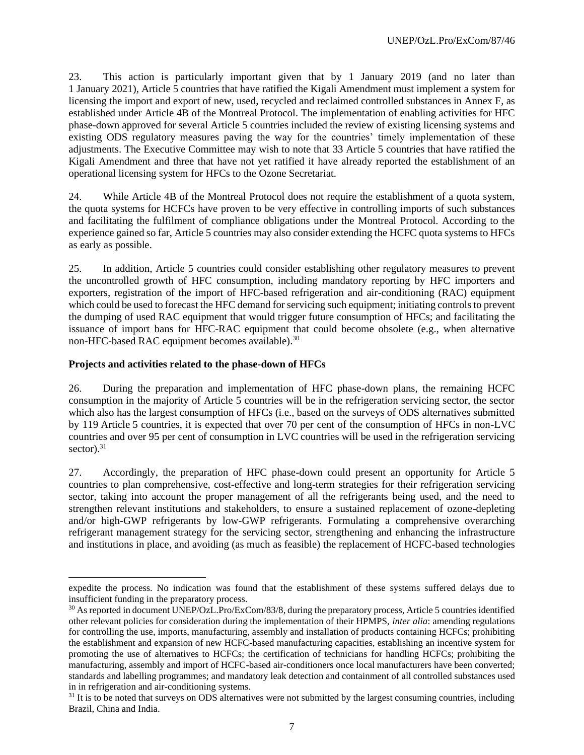23. This action is particularly important given that by 1 January 2019 (and no later than 1 January 2021), Article 5 countries that have ratified the Kigali Amendment must implement a system for licensing the import and export of new, used, recycled and reclaimed controlled substances in Annex F, as established under Article 4B of the Montreal Protocol. The implementation of enabling activities for HFC phase-down approved for several Article 5 countries included the review of existing licensing systems and existing ODS regulatory measures paving the way for the countries' timely implementation of these adjustments. The Executive Committee may wish to note that 33 Article 5 countries that have ratified the Kigali Amendment and three that have not yet ratified it have already reported the establishment of an operational licensing system for HFCs to the Ozone Secretariat.

24. While Article 4B of the Montreal Protocol does not require the establishment of a quota system, the quota systems for HCFCs have proven to be very effective in controlling imports of such substances and facilitating the fulfilment of compliance obligations under the Montreal Protocol. According to the experience gained so far, Article 5 countries may also consider extending the HCFC quota systems to HFCs as early as possible.

25. In addition, Article 5 countries could consider establishing other regulatory measures to prevent the uncontrolled growth of HFC consumption, including mandatory reporting by HFC importers and exporters, registration of the import of HFC-based refrigeration and air-conditioning (RAC) equipment which could be used to forecast the HFC demand for servicing such equipment; initiating controls to prevent the dumping of used RAC equipment that would trigger future consumption of HFCs; and facilitating the issuance of import bans for HFC-RAC equipment that could become obsolete (e.g., when alternative non-HFC-based RAC equipment becomes available).<sup>30</sup>

### **Projects and activities related to the phase-down of HFCs**

26. During the preparation and implementation of HFC phase-down plans, the remaining HCFC consumption in the majority of Article 5 countries will be in the refrigeration servicing sector, the sector which also has the largest consumption of HFCs (i.e., based on the surveys of ODS alternatives submitted by 119 Article 5 countries, it is expected that over 70 per cent of the consumption of HFCs in non-LVC countries and over 95 per cent of consumption in LVC countries will be used in the refrigeration servicing sector). $31$ 

27. Accordingly, the preparation of HFC phase-down could present an opportunity for Article 5 countries to plan comprehensive, cost-effective and long-term strategies for their refrigeration servicing sector, taking into account the proper management of all the refrigerants being used, and the need to strengthen relevant institutions and stakeholders, to ensure a sustained replacement of ozone-depleting and/or high-GWP refrigerants by low-GWP refrigerants. Formulating a comprehensive overarching refrigerant management strategy for the servicing sector, strengthening and enhancing the infrastructure and institutions in place, and avoiding (as much as feasible) the replacement of HCFC-based technologies

expedite the process. No indication was found that the establishment of these systems suffered delays due to insufficient funding in the preparatory process.

<sup>&</sup>lt;sup>30</sup> As reported in document UNEP/OzL.Pro/ExCom/83/8, during the preparatory process, Article 5 countries identified other relevant policies for consideration during the implementation of their HPMPS, *inter alia*: amending regulations for controlling the use, imports, manufacturing, assembly and installation of products containing HCFCs; prohibiting the establishment and expansion of new HCFC-based manufacturing capacities, establishing an incentive system for promoting the use of alternatives to HCFCs; the certification of technicians for handling HCFCs; prohibiting the manufacturing, assembly and import of HCFC-based air-conditioners once local manufacturers have been converted; standards and labelling programmes; and mandatory leak detection and containment of all controlled substances used in in refrigeration and air-conditioning systems.

 $31$  It is to be noted that surveys on ODS alternatives were not submitted by the largest consuming countries, including Brazil, China and India.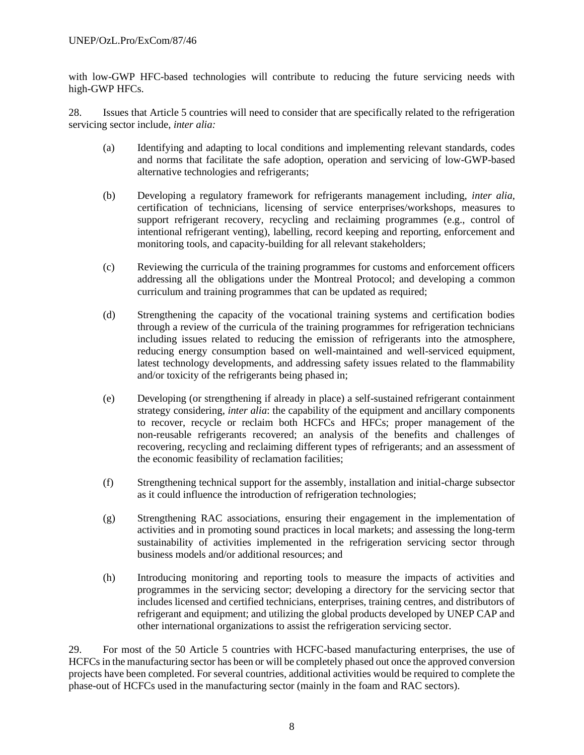with low-GWP HFC-based technologies will contribute to reducing the future servicing needs with high-GWP HFCs.

28. Issues that Article 5 countries will need to consider that are specifically related to the refrigeration servicing sector include, *inter alia:*

- (a) Identifying and adapting to local conditions and implementing relevant standards, codes and norms that facilitate the safe adoption, operation and servicing of low-GWP-based alternative technologies and refrigerants;
- (b) Developing a regulatory framework for refrigerants management including, *inter alia*, certification of technicians, licensing of service enterprises/workshops, measures to support refrigerant recovery, recycling and reclaiming programmes (e.g., control of intentional refrigerant venting), labelling, record keeping and reporting, enforcement and monitoring tools, and capacity-building for all relevant stakeholders;
- (c) Reviewing the curricula of the training programmes for customs and enforcement officers addressing all the obligations under the Montreal Protocol; and developing a common curriculum and training programmes that can be updated as required;
- (d) Strengthening the capacity of the vocational training systems and certification bodies through a review of the curricula of the training programmes for refrigeration technicians including issues related to reducing the emission of refrigerants into the atmosphere, reducing energy consumption based on well-maintained and well-serviced equipment, latest technology developments, and addressing safety issues related to the flammability and/or toxicity of the refrigerants being phased in;
- (e) Developing (or strengthening if already in place) a self-sustained refrigerant containment strategy considering, *inter alia*: the capability of the equipment and ancillary components to recover, recycle or reclaim both HCFCs and HFCs; proper management of the non-reusable refrigerants recovered; an analysis of the benefits and challenges of recovering, recycling and reclaiming different types of refrigerants; and an assessment of the economic feasibility of reclamation facilities;
- (f) Strengthening technical support for the assembly, installation and initial-charge subsector as it could influence the introduction of refrigeration technologies;
- (g) Strengthening RAC associations, ensuring their engagement in the implementation of activities and in promoting sound practices in local markets; and assessing the long-term sustainability of activities implemented in the refrigeration servicing sector through business models and/or additional resources; and
- (h) Introducing monitoring and reporting tools to measure the impacts of activities and programmes in the servicing sector; developing a directory for the servicing sector that includes licensed and certified technicians, enterprises, training centres, and distributors of refrigerant and equipment; and utilizing the global products developed by UNEP CAP and other international organizations to assist the refrigeration servicing sector.

29. For most of the 50 Article 5 countries with HCFC-based manufacturing enterprises, the use of HCFCs in the manufacturing sector has been or will be completely phased out once the approved conversion projects have been completed. For several countries, additional activities would be required to complete the phase-out of HCFCs used in the manufacturing sector (mainly in the foam and RAC sectors).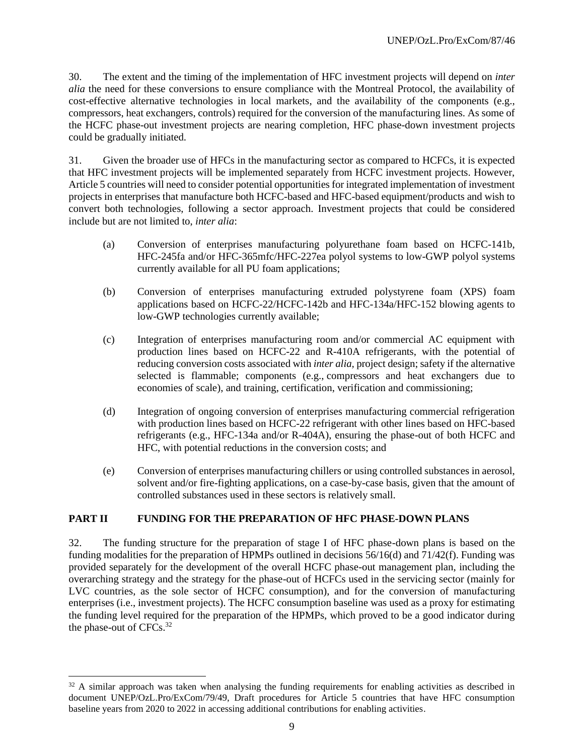30. The extent and the timing of the implementation of HFC investment projects will depend on *inter alia* the need for these conversions to ensure compliance with the Montreal Protocol, the availability of cost-effective alternative technologies in local markets, and the availability of the components (e.g., compressors, heat exchangers, controls) required for the conversion of the manufacturing lines. As some of the HCFC phase-out investment projects are nearing completion, HFC phase-down investment projects could be gradually initiated.

31. Given the broader use of HFCs in the manufacturing sector as compared to HCFCs, it is expected that HFC investment projects will be implemented separately from HCFC investment projects. However, Article 5 countries will need to consider potential opportunities for integrated implementation of investment projects in enterprises that manufacture both HCFC-based and HFC-based equipment/products and wish to convert both technologies, following a sector approach. Investment projects that could be considered include but are not limited to, *inter alia*:

- (a) Conversion of enterprises manufacturing polyurethane foam based on HCFC-141b, HFC-245fa and/or HFC-365mfc/HFC-227ea polyol systems to low-GWP polyol systems currently available for all PU foam applications;
- (b) Conversion of enterprises manufacturing extruded polystyrene foam (XPS) foam applications based on HCFC-22/HCFC-142b and HFC-134a/HFC-152 blowing agents to low-GWP technologies currently available;
- (c) Integration of enterprises manufacturing room and/or commercial AC equipment with production lines based on HCFC-22 and R-410A refrigerants, with the potential of reducing conversion costs associated with *inter alia,* project design; safety if the alternative selected is flammable; components (e.g., compressors and heat exchangers due to economies of scale), and training, certification, verification and commissioning;
- (d) Integration of ongoing conversion of enterprises manufacturing commercial refrigeration with production lines based on HCFC-22 refrigerant with other lines based on HFC-based refrigerants (e.g., HFC-134a and/or R-404A), ensuring the phase-out of both HCFC and HFC, with potential reductions in the conversion costs; and
- (e) Conversion of enterprises manufacturing chillers or using controlled substances in aerosol, solvent and/or fire-fighting applications, on a case-by-case basis, given that the amount of controlled substances used in these sectors is relatively small.

# **PART II FUNDING FOR THE PREPARATION OF HFC PHASE-DOWN PLANS**

32. The funding structure for the preparation of stage I of HFC phase-down plans is based on the funding modalities for the preparation of HPMPs outlined in decisions  $56/16(d)$  and  $71/42(f)$ . Funding was provided separately for the development of the overall HCFC phase-out management plan, including the overarching strategy and the strategy for the phase-out of HCFCs used in the servicing sector (mainly for LVC countries, as the sole sector of HCFC consumption), and for the conversion of manufacturing enterprises (i.e., investment projects). The HCFC consumption baseline was used as a proxy for estimating the funding level required for the preparation of the HPMPs, which proved to be a good indicator during the phase-out of CFCs.<sup>32</sup>

 $32$  A similar approach was taken when analysing the funding requirements for enabling activities as described in document UNEP/OzL.Pro/ExCom/79/49, Draft procedures for Article 5 countries that have HFC consumption baseline years from 2020 to 2022 in accessing additional contributions for enabling activities.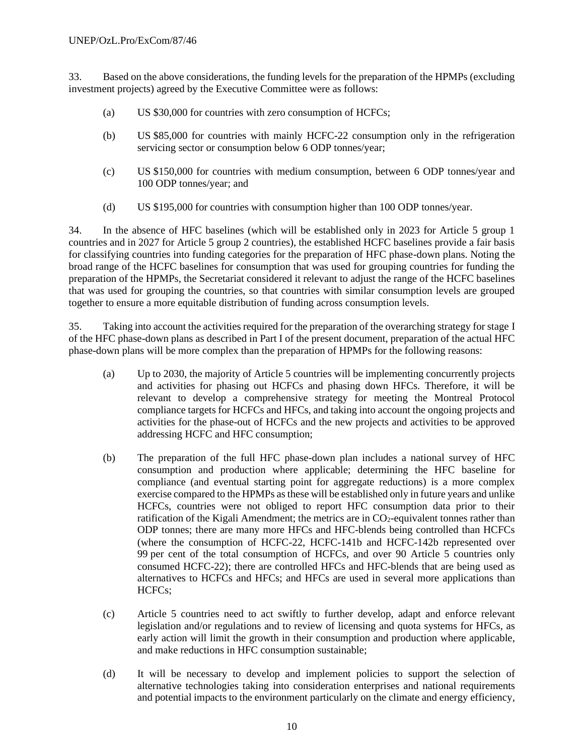33. Based on the above considerations, the funding levels for the preparation of the HPMPs (excluding investment projects) agreed by the Executive Committee were as follows:

- (a) US \$30,000 for countries with zero consumption of HCFCs;
- (b) US \$85,000 for countries with mainly HCFC-22 consumption only in the refrigeration servicing sector or consumption below 6 ODP tonnes/year;
- (c) US \$150,000 for countries with medium consumption, between 6 ODP tonnes/year and 100 ODP tonnes/year; and
- (d) US \$195,000 for countries with consumption higher than 100 ODP tonnes/year.

34. In the absence of HFC baselines (which will be established only in 2023 for Article 5 group 1 countries and in 2027 for Article 5 group 2 countries), the established HCFC baselines provide a fair basis for classifying countries into funding categories for the preparation of HFC phase-down plans. Noting the broad range of the HCFC baselines for consumption that was used for grouping countries for funding the preparation of the HPMPs, the Secretariat considered it relevant to adjust the range of the HCFC baselines that was used for grouping the countries, so that countries with similar consumption levels are grouped together to ensure a more equitable distribution of funding across consumption levels.

35. Taking into account the activities required for the preparation of the overarching strategy for stage I of the HFC phase-down plans as described in Part I of the present document, preparation of the actual HFC phase-down plans will be more complex than the preparation of HPMPs for the following reasons:

- (a) Up to 2030, the majority of Article 5 countries will be implementing concurrently projects and activities for phasing out HCFCs and phasing down HFCs. Therefore, it will be relevant to develop a comprehensive strategy for meeting the Montreal Protocol compliance targets for HCFCs and HFCs, and taking into account the ongoing projects and activities for the phase-out of HCFCs and the new projects and activities to be approved addressing HCFC and HFC consumption;
- (b) The preparation of the full HFC phase-down plan includes a national survey of HFC consumption and production where applicable; determining the HFC baseline for compliance (and eventual starting point for aggregate reductions) is a more complex exercise compared to the HPMPs as these will be established only in future years and unlike HCFCs, countries were not obliged to report HFC consumption data prior to their ratification of the Kigali Amendment; the metrics are in  $CO<sub>2</sub>$ -equivalent tonnes rather than ODP tonnes; there are many more HFCs and HFC-blends being controlled than HCFCs (where the consumption of HCFC-22, HCFC-141b and HCFC-142b represented over 99 per cent of the total consumption of HCFCs, and over 90 Article 5 countries only consumed HCFC-22); there are controlled HFCs and HFC-blends that are being used as alternatives to HCFCs and HFCs; and HFCs are used in several more applications than HCFCs;
- (c) Article 5 countries need to act swiftly to further develop, adapt and enforce relevant legislation and/or regulations and to review of licensing and quota systems for HFCs, as early action will limit the growth in their consumption and production where applicable, and make reductions in HFC consumption sustainable;
- (d) It will be necessary to develop and implement policies to support the selection of alternative technologies taking into consideration enterprises and national requirements and potential impacts to the environment particularly on the climate and energy efficiency,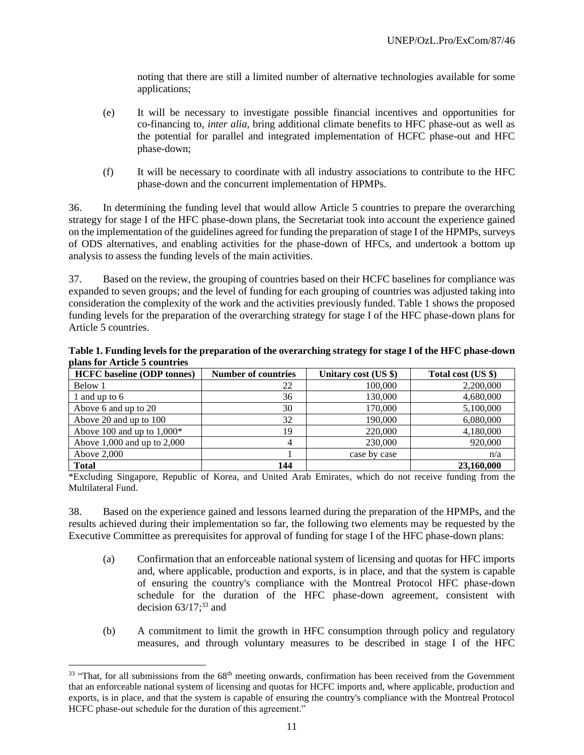noting that there are still a limited number of alternative technologies available for some applications;

- (e) It will be necessary to investigate possible financial incentives and opportunities for co-financing to, *inter alia,* bring additional climate benefits to HFC phase-out as well as the potential for parallel and integrated implementation of HCFC phase-out and HFC phase-down;
- (f) It will be necessary to coordinate with all industry associations to contribute to the HFC phase-down and the concurrent implementation of HPMPs.

36. In determining the funding level that would allow Article 5 countries to prepare the overarching strategy for stage I of the HFC phase-down plans, the Secretariat took into account the experience gained on the implementation of the guidelines agreed for funding the preparation of stage I of the HPMPs, surveys of ODS alternatives, and enabling activities for the phase-down of HFCs, and undertook a bottom up analysis to assess the funding levels of the main activities.

37. Based on the review, the grouping of countries based on their HCFC baselines for compliance was expanded to seven groups; and the level of funding for each grouping of countries was adjusted taking into consideration the complexity of the work and the activities previously funded. Table 1 shows the proposed funding levels for the preparation of the overarching strategy for stage I of the HFC phase-down plans for Article 5 countries.

| Table 1. Funding levels for the preparation of the overarching strategy for stage I of the HFC phase-down |  |
|-----------------------------------------------------------------------------------------------------------|--|
| plans for Article 5 countries                                                                             |  |

| <b>HCFC</b> baseline (ODP tonnes) | <b>Number of countries</b> | Unitary cost (US \$) | Total cost (US \$) |
|-----------------------------------|----------------------------|----------------------|--------------------|
| Below 1                           | 22                         | 100,000              | 2,200,000          |
| l and up to 6                     | 36                         | 130,000              | 4,680,000          |
| Above 6 and up to 20              | 30                         | 170,000              | 5,100,000          |
| Above 20 and up to 100            | 32                         | 190,000              | 6,080,000          |
| Above 100 and up to $1,000*$      | 19                         | 220,000              | 4,180,000          |
| Above $1,000$ and up to $2,000$   |                            | 230,000              | 920,000            |
| Above $2,000$                     |                            | case by case         | n/a                |
| <b>Total</b>                      | 144                        |                      | 23,160,000         |

\*Excluding Singapore, Republic of Korea, and United Arab Emirates, which do not receive funding from the Multilateral Fund.

38. Based on the experience gained and lessons learned during the preparation of the HPMPs, and the results achieved during their implementation so far, the following two elements may be requested by the Executive Committee as prerequisites for approval of funding for stage I of the HFC phase-down plans:

- (a) Confirmation that an enforceable national system of licensing and quotas for HFC imports and, where applicable, production and exports, is in place, and that the system is capable of ensuring the country's compliance with the Montreal Protocol HFC phase-down schedule for the duration of the HFC phase-down agreement, consistent with decision  $63/17$ ;<sup>33</sup> and
- (b) A commitment to limit the growth in HFC consumption through policy and regulatory measures, and through voluntary measures to be described in stage I of the HFC

 $33$  "That, for all submissions from the  $68<sup>th</sup>$  meeting onwards, confirmation has been received from the Government that an enforceable national system of licensing and quotas for HCFC imports and, where applicable, production and exports, is in place, and that the system is capable of ensuring the country's compliance with the Montreal Protocol HCFC phase-out schedule for the duration of this agreement."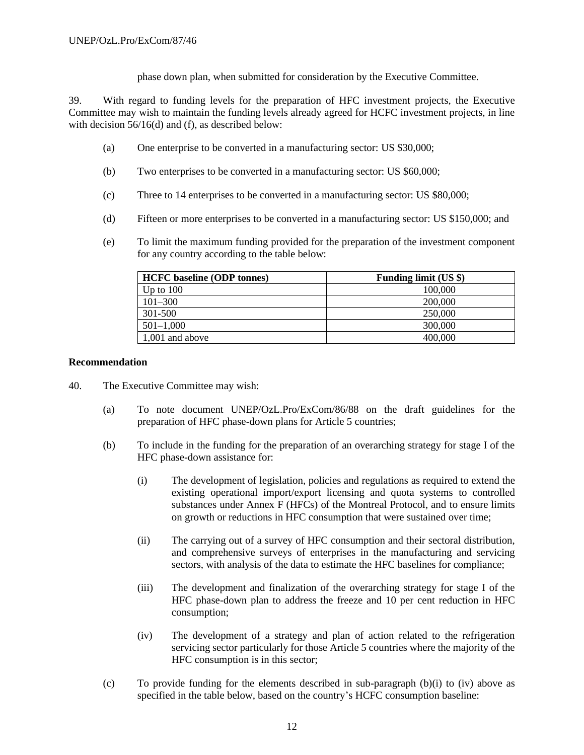phase down plan, when submitted for consideration by the Executive Committee.

39. With regard to funding levels for the preparation of HFC investment projects, the Executive Committee may wish to maintain the funding levels already agreed for HCFC investment projects, in line with decision  $56/16(d)$  and (f), as described below:

- (a) One enterprise to be converted in a manufacturing sector: US \$30,000;
- (b) Two enterprises to be converted in a manufacturing sector: US \$60,000;
- (c) Three to 14 enterprises to be converted in a manufacturing sector: US \$80,000;
- (d) Fifteen or more enterprises to be converted in a manufacturing sector: US \$150,000; and
- (e) To limit the maximum funding provided for the preparation of the investment component for any country according to the table below:

| <b>HCFC</b> baseline (ODP tonnes) | <b>Funding limit (US \$)</b> |
|-----------------------------------|------------------------------|
| Up to $100$                       | 100,000                      |
| $101 - 300$                       | 200,000                      |
| 301-500                           | 250,000                      |
| $501 - 1,000$                     | 300,000                      |
| 1,001 and above                   | 400,000                      |

### **Recommendation**

- 40. The Executive Committee may wish:
	- (a) To note document UNEP/OzL.Pro/ExCom/86/88 on the draft guidelines for the preparation of HFC phase-down plans for Article 5 countries;
	- (b) To include in the funding for the preparation of an overarching strategy for stage I of the HFC phase-down assistance for:
		- (i) The development of legislation, policies and regulations as required to extend the existing operational import/export licensing and quota systems to controlled substances under Annex F (HFCs) of the Montreal Protocol, and to ensure limits on growth or reductions in HFC consumption that were sustained over time;
		- (ii) The carrying out of a survey of HFC consumption and their sectoral distribution, and comprehensive surveys of enterprises in the manufacturing and servicing sectors, with analysis of the data to estimate the HFC baselines for compliance;
		- (iii) The development and finalization of the overarching strategy for stage I of the HFC phase-down plan to address the freeze and 10 per cent reduction in HFC consumption;
		- (iv) The development of a strategy and plan of action related to the refrigeration servicing sector particularly for those Article 5 countries where the majority of the HFC consumption is in this sector;
	- (c) To provide funding for the elements described in sub-paragraph  $(b)(i)$  to  $(iv)$  above as specified in the table below, based on the country's HCFC consumption baseline: